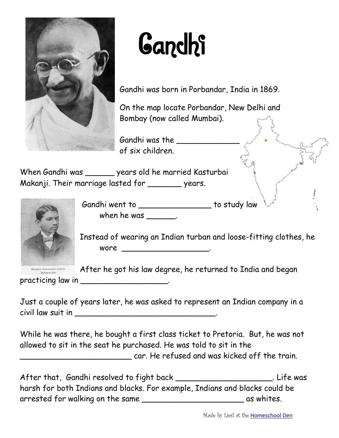

## **Gandhi**

Gandhi was born in Porbandar, India in 1869.

On the map locate Porbandar, New Delhi and Bombay (now called Mumbai).

Gandhi was the \_\_\_\_\_\_\_\_\_\_\_\_\_ of six children.

When Gandhi was \_\_\_\_\_\_ years old he married Kasturbai Makanji. Their marriage lasted for \_\_\_\_\_\_\_ years.



Gandhi went to \_\_\_\_\_\_\_\_\_\_\_\_\_\_\_\_\_\_ to study law when he was  $\frac{1}{2}$ 

Instead of wearing an Indian turban and loose-fitting clothes, he wore \_\_\_\_\_\_\_\_\_\_\_\_\_\_\_\_\_\_\_\_\_\_\_\_.

After he got his law degree, he returned to India and began

practicing law in \_\_\_\_\_\_\_\_\_\_\_\_\_\_\_\_\_\_\_.

Just a couple of years later, he was asked to represent an Indian company in a civil law suit in \_\_\_\_\_\_\_\_\_\_\_\_\_\_\_\_\_\_\_\_\_\_\_\_\_\_\_\_\_.

While he was there, he bought a first class ticket to Pretoria. But, he was not allowed to sit in the seat he purchased. He was told to sit in the car. He refused and was kicked off the train.

After that, Gandhi resolved to fight back \_\_\_\_\_\_\_\_\_\_\_\_\_\_\_\_\_\_\_\_\_\_\_\_\_\_\_\_\_. Life was harsh for both Indians and blacks. For example, Indians and blacks could be arrested for walking on the same \_\_\_\_\_\_\_\_\_\_\_\_\_\_\_\_\_\_\_\_\_\_\_\_\_\_\_\_\_\_\_ as whites.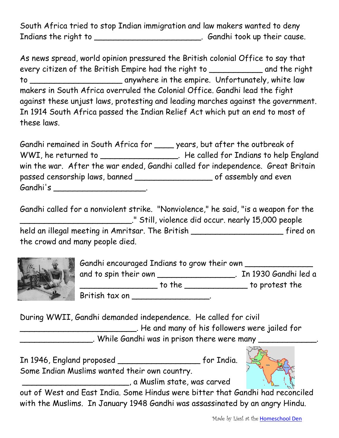South Africa tried to stop Indian immigration and law makers wanted to deny Indians the right to \_\_\_\_\_\_\_\_\_\_\_\_\_\_\_\_\_\_\_\_\_\_\_\_. Gandhi took up their cause.

As news spread, world opinion pressured the British colonial Office to say that every citizen of the British Empire had the right to \_\_\_\_\_\_\_\_\_\_\_ and the right to \_\_\_\_\_\_\_\_\_\_\_\_\_\_\_\_\_\_\_ anywhere in the empire. Unfortunately, white law makers in South Africa overruled the Colonial Office. Gandhi lead the fight against these unjust laws, protesting and leading marches against the government. In 1914 South Africa passed the Indian Relief Act which put an end to most of these laws.

Gandhi remained in South Africa for \_\_\_\_ years, but after the outbreak of WWI, he returned to \_\_\_\_\_\_\_\_\_\_\_\_\_\_\_\_\_\_\_. He called for Indians to help England win the war. After the war ended, Gandhi called for independence. Great Britain passed censorship laws, banned \_\_\_\_\_\_\_\_\_\_\_\_\_\_\_\_\_\_\_\_\_\_\_\_\_\_\_ of assembly and even Gandhi's \_\_\_\_\_\_\_\_\_\_\_\_\_\_\_\_\_\_\_\_\_\_.

Gandhi called for a nonviolent strike. "Nonviolence," he said, "is a weapon for the \_\_\_\_\_\_\_\_\_\_\_\_\_\_\_\_\_\_\_\_\_\_\_." Still, violence did occur. nearly 15,000 people held an illegal meeting in Amritsar. The British fired on the crowd and many people died.



Gandhi encouraged Indians to grow their own and to spin their own \_\_\_\_\_\_\_\_\_\_\_\_\_\_\_\_\_\_. In 1930 Gandhi led a \_\_\_\_\_\_\_\_\_\_\_\_\_\_\_\_ to the \_\_\_\_\_\_\_\_\_\_\_\_\_ to protest the British tax on \_\_\_\_\_\_\_\_\_\_\_\_\_\_\_\_.

During WWII, Gandhi demanded independence. He called for civil \_\_\_\_\_\_\_\_\_\_\_\_\_\_\_\_\_\_\_\_\_\_\_\_. He and many of his followers were jailed for

\_\_\_\_\_\_\_\_\_\_\_\_\_\_\_. While Gandhi was in prison there were many \_\_\_\_\_\_\_\_\_\_\_\_.





out of West and East India. Some Hindus were bitter that Gandhi had reconciled with the Muslims. In January 1948 Gandhi was assassinated by an angry Hindu.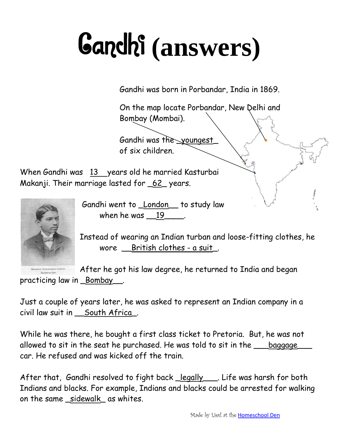## Gandhi **(answers)**

Gandhi was born in Porbandar, India in 1869.

On the map locate Porbandar, New Delhi and Bombay (Mombai).

Gandhi was the \_youngest\_ of six children.

When Gandhi was 13 years old he married Kasturbai Makanji. Their marriage lasted for \_62\_ years.



Gandhi went to \_London\_\_ to study law when he was 19 and 19

Instead of wearing an Indian turban and loose-fitting clothes, he wore \_\_British clothes - a suit\_.

After he got his law degree, he returned to India and began practicing law in \_Bombay\_\_.

Just a couple of years later, he was asked to represent an Indian company in a civil law suit in \_\_South Africa\_.

While he was there, he bought a first class ticket to Pretoria. But, he was not allowed to sit in the seat he purchased. He was told to sit in the *\_\_\_baggage\_* car. He refused and was kicked off the train.

After that, Gandhi resolved to fight back \_legally\_\_\_. Life was harsh for both Indians and blacks. For example, Indians and blacks could be arrested for walking on the same sidewalk as whites.